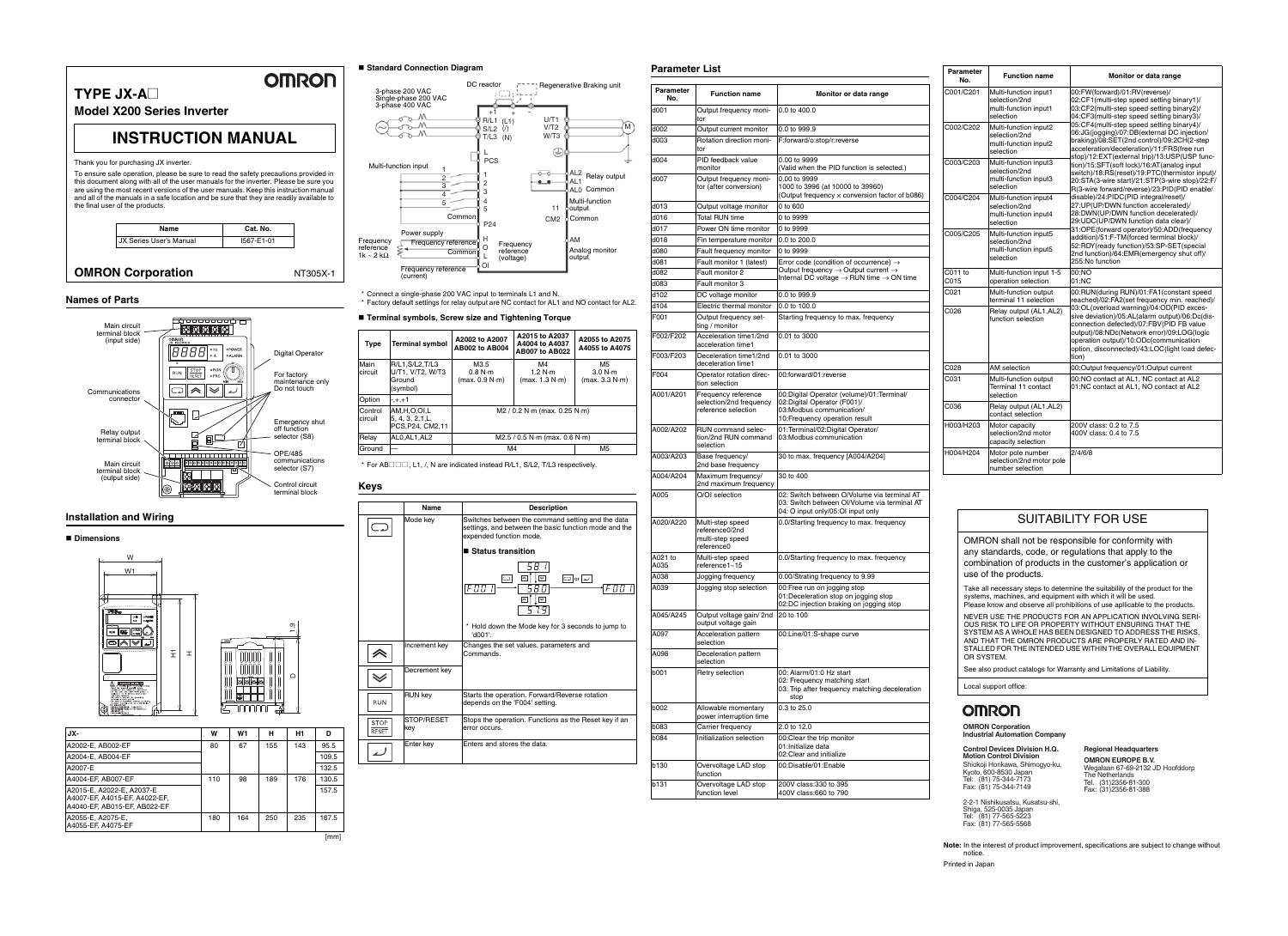#### **Names of Parts**

#### **Installation and Wiring**

#### ■ Dimensions

#### **Standard Connection Diagram**

\* Connect a single-phase 200 VAC input to terminals L1 and N. \* Factory default settings for relay output are NC contact for AL1 and NO contact for AL2.

#### **Terminal symbols, Screw size and Tightening Torque**

#### **Keys**

#### **Parameter List**

| JX-                                                                                        | w   | W <sub>1</sub> | н   | Н1  | ח     |
|--------------------------------------------------------------------------------------------|-----|----------------|-----|-----|-------|
| A2002-E, AB002-EF                                                                          | 80  | 67             | 155 | 143 | 95.5  |
| A2004-E. AB004-EF                                                                          |     |                |     |     | 109.5 |
| A2007-E                                                                                    |     |                |     |     | 132.5 |
| A4004-EF, AB007-EF                                                                         | 110 | 98             | 189 | 176 | 130.5 |
| A2015-E, A2022-E, A2037-E<br>A4007-EF, A4015-EF, A4022-EF,<br>A4040-EF, AB015-EF, AB022-EF |     |                |     |     | 157.5 |
| A2055-E, A2075-E,<br>A4055-EF, A4075-EF                                                    | 180 | 164            | 250 | 235 | 167.5 |
|                                                                                            |     |                |     |     | [mm]  |







D 1.9

| <b>Type</b>        | <b>Terminal symbol</b>                                     | A2002 to A2007<br>AB002 to AB004  | A2015 to A2037<br>A4004 to A4037<br><b>AB007 to AB022</b> | A2055 to A2075<br>A4055 to A4075            |
|--------------------|------------------------------------------------------------|-----------------------------------|-----------------------------------------------------------|---------------------------------------------|
| Main<br>circuit    | R/L1, S/L2, T/L3<br>U/T1, V/T2, W/T3<br>Ground<br>(symbol) | M3.5<br>0.8 N·m<br>(max. 0.9 N·m) | M4<br>1.2 N·m<br>(max. 1.3 N·m)                           | M <sub>5</sub><br>3.0 N·m<br>(max. 3.3 N·m) |
| Option             | $-++1$                                                     |                                   |                                                           |                                             |
| Control<br>circuit | AM.H.O.OI.L<br>5, 4, 3, 2, 1, L,<br>PCS, P24, CM2, 11      | $M2 / 0.2 N·m$ (max. 0.25 N·m)    |                                                           |                                             |
| Relay              | ALO.AL1.AL2                                                | $M2.5 / 0.5 N·m$ (max. 0.6 N·m)   |                                                           |                                             |
| Ground             |                                                            | M4                                |                                                           | M <sub>5</sub>                              |

\* For AB $\Box$  $\Box$ , L1, /, N are indicated instead R/L1, S/L2, T/L3 respectively.





| <b>Parameter</b><br>No. | <b>Function name</b>                                                  | Monitor or data range                                                                                                            |
|-------------------------|-----------------------------------------------------------------------|----------------------------------------------------------------------------------------------------------------------------------|
| d001                    | Output frequency moni-<br>tor                                         | 0.0 to 400.0                                                                                                                     |
| d002                    | Output current monitor                                                | 0.0 to 999.9                                                                                                                     |
| d003                    | Rotation direction moni-<br>tor                                       | F:forward/o:stop/r:reverse                                                                                                       |
| d004                    | PID feedback value<br>monitor                                         | 0.00 to 9999<br>(Valid when the PID function is selected.)                                                                       |
| d007                    | Output frequency moni-<br>tor (after conversion)                      | 0.00 to 9999<br>1000 to 3996 (at 10000 to 39960)<br>(Output frequency x conversion factor of b086)                               |
| d013                    | Output voltage monitor                                                | 0 to 600                                                                                                                         |
| d016                    | Total RUN time                                                        | 0 to 9999                                                                                                                        |
| d017                    | Power ON time monitor                                                 | 0 to 9999                                                                                                                        |
| d018                    | Fin temperature monitor                                               | 0.0 to 200.0                                                                                                                     |
| d080                    | Fault frequency monitor                                               | 0 to 9999                                                                                                                        |
| d081                    | Fault monitor 1 (latest)                                              | Error code (condition of occurrence) $\rightarrow$                                                                               |
| d082                    | Fault monitor 2                                                       | Output frequency $\rightarrow$ Output current $\rightarrow$                                                                      |
| d083                    | Fault monitor 3                                                       | Internal DC voltage $\rightarrow$ RUN time $\rightarrow$ ON time                                                                 |
| d102                    | DC voltage monitor                                                    | 0.0 to 999.9                                                                                                                     |
| d104                    | Electric thermal monitor                                              | $0.0$ to $100.0$                                                                                                                 |
| F001                    | Output frequency set-<br>ting / monitor                               | Starting frequency to max. frequency                                                                                             |
| F002/F202               | Acceleration time1/2nd<br>acceleration time1                          | 0.01 to 3000                                                                                                                     |
| F003/F203               | Deceleration time1/2nd<br>deceleration time1                          | 0.01 to 3000                                                                                                                     |
| F004                    | Operator rotation direc-<br>tion selection                            | 00:forward/01:reverse                                                                                                            |
| A001/A201               | Frequency reference<br>selection/2nd frequency<br>reference selection | 00: Digital Operator (volume)/01: Terminal/<br>02: Digital Operator (F001)/<br>03: Modbus communication/                         |
|                         |                                                                       | 10: Frequency operation result                                                                                                   |
| A002/A202               | <b>RUN</b> command selec-<br>tion/2nd RUN command<br>selection        | 01:Terminal/02:Digital Operator/<br>03: Modbus communication                                                                     |
| A003/A203               | Base frequency/<br>2nd base frequency                                 | 30 to max. frequency [A004/A204]                                                                                                 |
| A004/A204               | Maximum frequency/<br>2nd maximum frequency                           | $30 \text{ to } 400$                                                                                                             |
| A005                    | O/OI selection                                                        | 02: Switch between O/Volume via terminal AT<br>03: Switch between Ol/Volume via terminal AT<br>04: O input only/05:OI input only |
| A020/A220               | Multi-step speed<br>reference0/2nd<br>multi-step speed<br>reference0  | 0.0/Starting frequency to max. frequency                                                                                         |
| A021 to<br>A035         | Multi-step speed<br>reference1~15                                     | 0.0/Starting frequency to max. frequency                                                                                         |
| A038                    | Jogging frequency                                                     | 0.00/Strating frequency to 9.99                                                                                                  |
| A039                    | Jogging stop selection                                                | 00: Free run on jogging stop<br>01:Deceleration stop on jogging stop<br>02:DC injection braking on jogging stop                  |
| A045/A245               | Output voltage gain/2nd<br>output voltage gain                        | 20 to 100                                                                                                                        |
| A097                    | Acceleration pattern<br>selection                                     | 00:Line/01:S-shape curve                                                                                                         |
| A098                    | Deceleration pattern<br>selection                                     |                                                                                                                                  |
| b001                    | Retry selection                                                       | 00: Alarm/01:0 Hz start<br>02: Frequency matching start<br>03: Trip after frequency matching deceleration<br>stop                |
| b002                    | Allowable momentary<br>power interruption time                        | 0.3 to 25.0                                                                                                                      |
| b083                    | Carrier frequency                                                     | 2.0 to 12.0                                                                                                                      |
| b084                    | Initialization selection                                              | 00:Clear the trip monitor<br>01: Initialize data<br>02:Clear and initialize                                                      |
| b130                    | Overvoltage LAD stop<br>function                                      | 00:Disable/01:Enable                                                                                                             |
| b131                    | Overvoltage LAD stop<br>function level                                | 200V class:330 to 395<br>400V class:660 to 790                                                                                   |

| <b>Parameter</b><br>No. | <b>Function name</b>                                                         | Monitor or data range                                                                                                                                                                                                                                                                     |
|-------------------------|------------------------------------------------------------------------------|-------------------------------------------------------------------------------------------------------------------------------------------------------------------------------------------------------------------------------------------------------------------------------------------|
| C001/C201               | Multi-function input1<br>selection/2nd<br>multi-function input1<br>selection | 00:FW(forward)/01:RV(reverse)/<br>02:CF1(multi-step speed setting binary1)/<br>03:CF2(multi-step speed setting binary2)/<br>04:CF3(multi-step speed setting binary3)/                                                                                                                     |
| C002/C202               | Multi-function input2<br>selection/2nd<br>multi-function input2<br>selection | 05:CF4(multi-step speed setting binary4)/<br>06:JG(jogging)/07:DB(external DC injection/<br>braking)/08:SET(2nd control)/09:2CH(2-step<br>acceleration/deceleration)/11:FRS(free run<br>stop)/12:EXT(external trip)/13:USP(USP func-                                                      |
| C003/C203               | Multi-function input3<br>selection/2nd<br>multi-function input3<br>selection | tion)/15:SFT(soft lock)/16:AT(analog input<br>switch)/18:RS(reset)/19:PTC(thermistor input)/<br>20:STA(3-wire start)/21:STP(3-wire stop)/22:F/<br>R(3-wire forward/reverse)/23:PID(PID enable/                                                                                            |
| C004/C204               | Multi-function input4<br>selection/2nd<br>multi-function input4<br>selection | disable)/24:PIDC(PID integral/reset)/<br>27:UP(UP/DWN function accelerated)/<br>28:DWN(UP/DWN function decelerated)/<br>29:UDC(UP/DWN function data clear)/                                                                                                                               |
| C005/C205               | Multi-function input5<br>selection/2nd<br>multi-function input5<br>selection | 31:OPE(forward operator)/50:ADD(frequency<br>addition)/51:F-TM(forced terminal block)/<br>52:RDY(ready function)/53:SP-SET(special<br>2nd function)/64:EMR(emergency shut off)/<br>255:No function                                                                                        |
| C011 to<br>C015         | Multi-function input 1-5<br>operation selection                              | 00:NO<br>01:NC                                                                                                                                                                                                                                                                            |
| C021                    | Multi-function output<br>terminal 11 selection                               | 00:RUN(during RUN)/01:FA1(constant speed<br>reached)/02:FA2(set frequency min. reached)/                                                                                                                                                                                                  |
| C026                    | Relay output (AL1, AL2)<br>function selection                                | 03:OL(overload warning)/04:OD(PID exces-<br>sive deviation)/05:AL(alarm output)/06:Dc(dis-<br>connection defected)/07:FBV(PID FB value<br>output)/08:NDc(Network error)/09:LOG(logic<br>operation output)/10:ODc(communication<br>option, disconnected)/43:LOC(light load defec-<br>tion) |
| C028                    | AM selection                                                                 | 00:Output frequency/01:Output current                                                                                                                                                                                                                                                     |
| C031                    | Multi-function output<br>Terminal 11 contact<br>selection                    | 00:NO contact at AL1, NC contact at AL2<br>01:NC contact at AL1, NO contact at AL2                                                                                                                                                                                                        |
| C036                    | Relay output (AL1, AL2)<br>contact selection                                 |                                                                                                                                                                                                                                                                                           |
| H003/H203               | Motor capacity<br>selection/2nd motor<br>capacity selection                  | 200V class: 0.2 to 7.5<br>400V class: 0.4 to 7.5                                                                                                                                                                                                                                          |
| H004/H204               | Motor pole number<br>selection/2nd motor pole<br>number selection            | 2/4/6/8                                                                                                                                                                                                                                                                                   |

## **OMRON Corporation Industrial Automation Company**

# **Control Devices Division H.Q. Motion Control Division**

Shiokoji Horikawa, Shimogyo-ku, Kyoto, 600-8530 Japan Tel: (81) 75-344-7173 Fax: (81) 75-344-7149

2-2-1 Nishikusatsu, Kusatsu-shi, Shiga, 525-0035 Japan Tel: (81) 77-565-5223 Fax: (81) 77-565-5568

**Regional Headquarters**

**OMRON EUROPE B.V.** Wegalaan 67-69-2132 JD Hoofddorp The Netherlands Tel. (31)2356-81-300 Fax: (31)2356-81-388

## SUITABILITY FOR USE

OMRON shall not be responsible for conformity with any standards, code, or regulations that apply to the combination of products in the customer's application or use of the products.

Take all necessary steps to determine the suitability of the product for the systems, machines, and equipment with which it will be used. Please know and observe all prohibitions of use apllicable to the products.

NEVER USE THE PRODUCTS FOR AN APPLICATION INVOLVING SERI-OUS RISK TO LIFE OR PROPERTY WITHOUT ENSURING THAT THE SYSTEM AS A WHOLE HAS BEEN DESIGNED TO ADDRESS THE RISKS, AND THAT THE OMRON PRODUCTS ARE PROPERLY RATED AND IN-STALLED FOR THE INTENDED USE WITHIN THE OVERALL EQUIPMENT OR SYSTEM.

See also product catalogs for Warranty and Limitations of Liability.

Local support office:

# **OMRON**

**Note:** In the interest of product improvement, specifications are subject to change without notice.